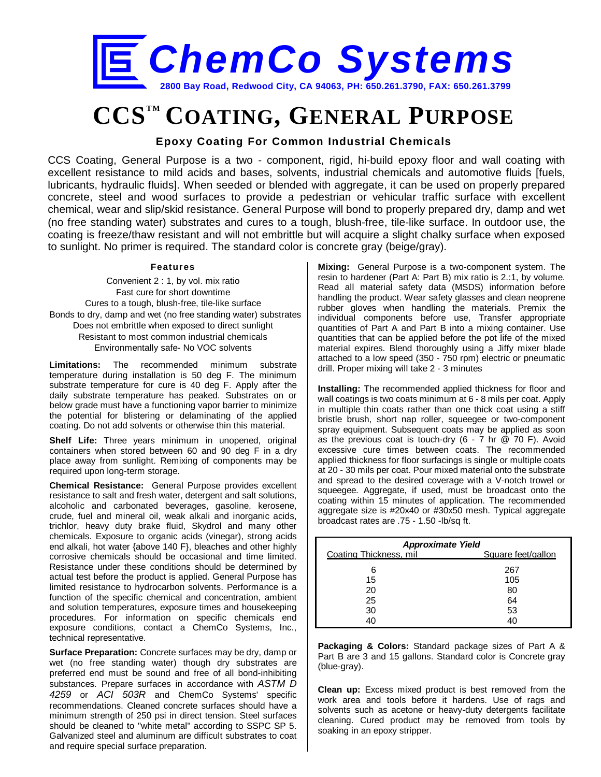

# **CCSTM COATING, GENERAL PURPOSE**

### **Epoxy Coating For Common Industrial Chemicals**

CCS Coating, General Purpose is a two - component, rigid, hi-build epoxy floor and wall coating with excellent resistance to mild acids and bases, solvents, industrial chemicals and automotive fluids [fuels, lubricants, hydraulic fluids]. When seeded or blended with aggregate, it can be used on properly prepared concrete, steel and wood surfaces to provide a pedestrian or vehicular traffic surface with excellent chemical, wear and slip/skid resistance. General Purpose will bond to properly prepared dry, damp and wet (no free standing water) substrates and cures to a tough, blush-free, tile-like surface. In outdoor use, the coating is freeze/thaw resistant and will not embrittle but will acquire a slight chalky surface when exposed to sunlight. No primer is required. The standard color is concrete gray (beige/gray).

#### **Features**

Convenient 2 : 1, by vol. mix ratio Fast cure for short downtime Cures to a tough, blush-free, tile-like surface Bonds to dry, damp and wet (no free standing water) substrates Does not embrittle when exposed to direct sunlight Resistant to most common industrial chemicals Environmentally safe- No VOC solvents

**Limitations:** The recommended minimum substrate temperature during installation is 50 deg F. The minimum substrate temperature for cure is 40 deg F. Apply after the daily substrate temperature has peaked. Substrates on or below grade must have a functioning vapor barrier to minimize the potential for blistering or delaminating of the applied coating. Do not add solvents or otherwise thin this material.

**Shelf Life:** Three years minimum in unopened, original containers when stored between 60 and 90 deg F in a dry place away from sunlight. Remixing of components may be required upon long-term storage.

**Chemical Resistance:** General Purpose provides excellent resistance to salt and fresh water, detergent and salt solutions, alcoholic and carbonated beverages, gasoline, kerosene, crude, fuel and mineral oil, weak alkali and inorganic acids, trichlor, heavy duty brake fluid, Skydrol and many other chemicals. Exposure to organic acids (vinegar), strong acids end alkali, hot water {above 140 F}, bleaches and other highly corrosive chemicals should be occasional and time limited. Resistance under these conditions should be determined by actual test before the product is applied. General Purpose has limited resistance to hydrocarbon solvents. Performance is a function of the specific chemical and concentration, ambient and solution temperatures, exposure times and housekeeping procedures. For information on specific chemicals end exposure conditions, contact a ChemCo Systems, Inc., technical representative.

**Surface Preparation:** Concrete surfaces may be dry, damp or wet (no free standing water) though dry substrates are preferred end must be sound and free of all bond-inhibiting substances. Prepare surfaces in accordance with *ASTM D 4259* or *ACI 503R* and ChemCo Systems' specific recommendations. Cleaned concrete surfaces should have a minimum strength of 250 psi in direct tension. Steel surfaces should be cleaned to "white metal" according to SSPC SP 5. Galvanized steel and aluminum are difficult substrates to coat and require special surface preparation.

**Mixing:** General Purpose is a two-component system. The resin to hardener (Part A: Part B) mix ratio is 2.:1, by volume. Read all material safety data (MSDS) information before handling the product. Wear safety glasses and clean neoprene rubber gloves when handling the materials. Premix the individual components before use, Transfer appropriate quantities of Part A and Part B into a mixing container. Use quantities that can be applied before the pot life of the mixed material expires. Blend thoroughly using a Jiffy mixer blade attached to a low speed (350 - 750 rpm) electric or pneumatic drill. Proper mixing will take 2 - 3 minutes

**Installing:** The recommended applied thickness for floor and wall coatings is two coats minimum at 6 - 8 mils per coat. Apply in multiple thin coats rather than one thick coat using a stiff bristle brush, short nap roller, squeegee or two-component spray equipment. Subsequent coats may be applied as soon as the previous coat is touch-dry  $(6 - 7)$  hr  $(2)$  70 F). Avoid excessive cure times between coats. The recommended applied thickness for floor surfacings is single or multiple coats at 20 - 30 mils per coat. Pour mixed material onto the substrate and spread to the desired coverage with a V-notch trowel or squeegee. Aggregate, if used, must be broadcast onto the coating within 15 minutes of application. The recommended aggregate size is #20x40 or #30x50 mesh. Typical aggregate broadcast rates are .75 - 1.50 -lb/sq ft.

| <b>Approximate Yield</b> |                    |  |  |
|--------------------------|--------------------|--|--|
| Coating Thickness, mil   | Square feet/gallon |  |  |
| 6                        | 267                |  |  |
| 15                       | 105                |  |  |
| 20                       | 80                 |  |  |
| 25                       | 64                 |  |  |
| 30                       | 53                 |  |  |
| 40                       | 41                 |  |  |

**Packaging & Colors:** Standard package sizes of Part A & Part B are 3 and 15 gallons. Standard color is Concrete gray (blue-gray).

**Clean up:** Excess mixed product is best removed from the work area and tools before it hardens. Use of rags and solvents such as acetone or heavy-duty detergents facilitate cleaning. Cured product may be removed from tools by soaking in an epoxy stripper.